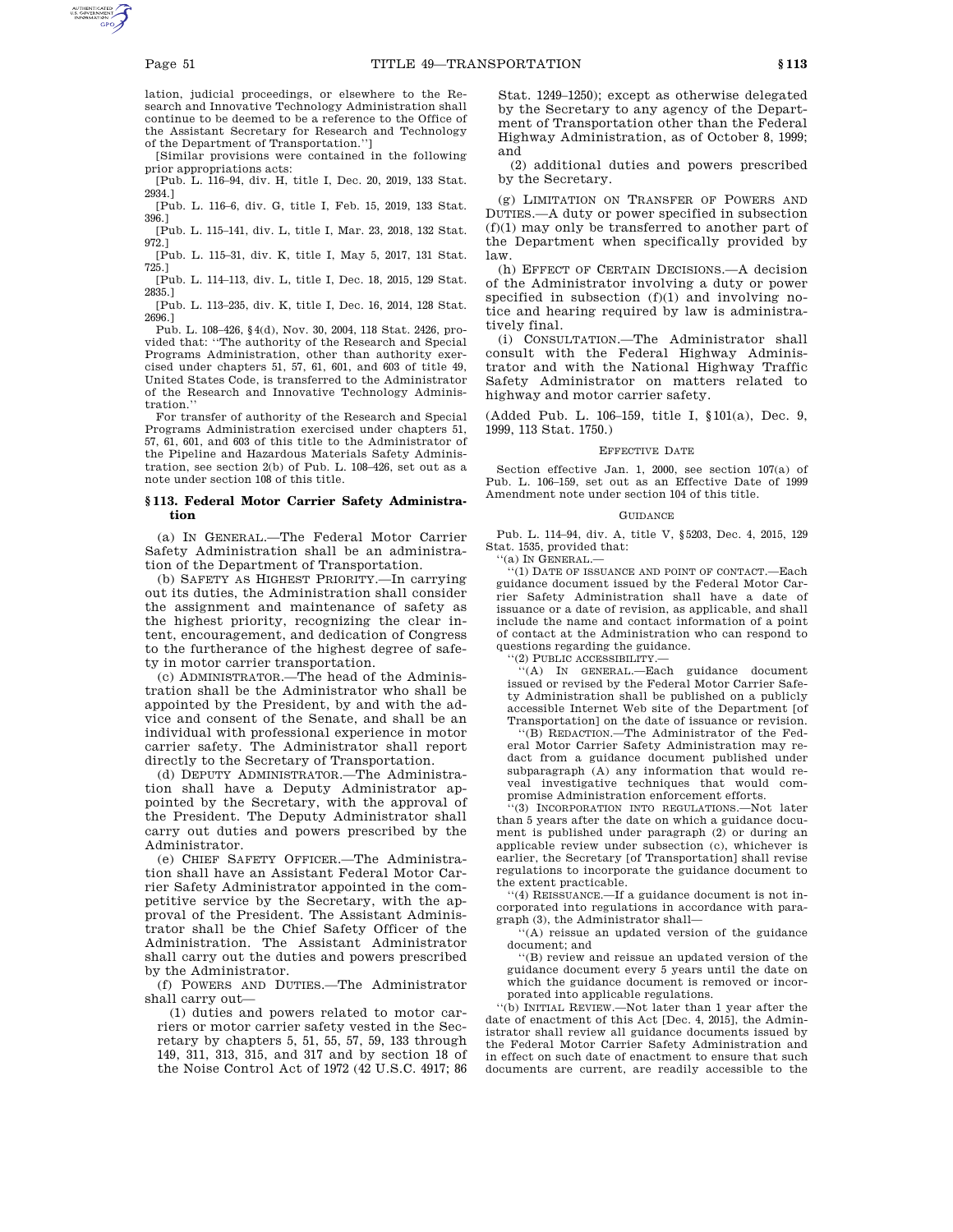lation, judicial proceedings, or elsewhere to the Research and Innovative Technology Administration shall continue to be deemed to be a reference to the Office of the Assistant Secretary for Research and Technology of the Department of Transportation.'']

[Similar provisions were contained in the following prior appropriations acts:

[Pub. L. 116–94, div. H, title I, Dec. 20, 2019, 133 Stat. 2934.]

[Pub. L. 116–6, div. G, title I, Feb. 15, 2019, 133 Stat. 396.]

[Pub. L. 115–141, div. L, title I, Mar. 23, 2018, 132 Stat. 972.]

[Pub. L. 115–31, div. K, title I, May 5, 2017, 131 Stat. 725.]

[Pub. L. 114–113, div. L, title I, Dec. 18, 2015, 129 Stat. 2835.]

[Pub. L. 113–235, div. K, title I, Dec. 16, 2014, 128 Stat. 2696.]

Pub. L. 108–426, §4(d), Nov. 30, 2004, 118 Stat. 2426, provided that: ''The authority of the Research and Special Programs Administration, other than authority exercised under chapters 51, 57, 61, 601, and 603 of title 49, United States Code, is transferred to the Administrator of the Research and Innovative Technology Administration.''

For transfer of authority of the Research and Special Programs Administration exercised under chapters 51, 57, 61, 601, and 603 of this title to the Administrator of the Pipeline and Hazardous Materials Safety Administration, see section 2(b) of Pub. L. 108–426, set out as a note under section 108 of this title.

## **§ 113. Federal Motor Carrier Safety Administration**

(a) IN GENERAL.—The Federal Motor Carrier Safety Administration shall be an administration of the Department of Transportation.

(b) SAFETY AS HIGHEST PRIORITY.—In carrying out its duties, the Administration shall consider the assignment and maintenance of safety as the highest priority, recognizing the clear intent, encouragement, and dedication of Congress to the furtherance of the highest degree of safety in motor carrier transportation.

(c) ADMINISTRATOR.—The head of the Administration shall be the Administrator who shall be appointed by the President, by and with the advice and consent of the Senate, and shall be an individual with professional experience in motor carrier safety. The Administrator shall report directly to the Secretary of Transportation.

(d) DEPUTY ADMINISTRATOR.—The Administration shall have a Deputy Administrator appointed by the Secretary, with the approval of the President. The Deputy Administrator shall carry out duties and powers prescribed by the Administrator.

(e) CHIEF SAFETY OFFICER.—The Administration shall have an Assistant Federal Motor Carrier Safety Administrator appointed in the competitive service by the Secretary, with the approval of the President. The Assistant Administrator shall be the Chief Safety Officer of the Administration. The Assistant Administrator shall carry out the duties and powers prescribed by the Administrator.

(f) POWERS AND DUTIES.—The Administrator shall carry out—

(1) duties and powers related to motor carriers or motor carrier safety vested in the Secretary by chapters 5, 51, 55, 57, 59, 133 through 149, 311, 313, 315, and 317 and by section 18 of the Noise Control Act of 1972 (42 U.S.C. 4917; 86

Stat. 1249–1250); except as otherwise delegated by the Secretary to any agency of the Department of Transportation other than the Federal Highway Administration, as of October 8, 1999; and

(2) additional duties and powers prescribed by the Secretary.

(g) LIMITATION ON TRANSFER OF POWERS AND DUTIES.—A duty or power specified in subsection (f)(1) may only be transferred to another part of the Department when specifically provided by law.

(h) EFFECT OF CERTAIN DECISIONS.—A decision of the Administrator involving a duty or power specified in subsection  $(f)(1)$  and involving notice and hearing required by law is administratively final.

(i) CONSULTATION.—The Administrator shall consult with the Federal Highway Administrator and with the National Highway Traffic Safety Administrator on matters related to highway and motor carrier safety.

(Added Pub. L. 106–159, title I, §101(a), Dec. 9, 1999, 113 Stat. 1750.)

## EFFECTIVE DATE

Section effective Jan. 1, 2000, see section 107(a) of Pub. L. 106–159, set out as an Effective Date of 1999 Amendment note under section 104 of this title.

#### **GUIDANCE**

Pub. L. 114–94, div. A, title V, §5203, Dec. 4, 2015, 129 Stat. 1535, provided that:

''(a) IN GENERAL.—

 $\cdot$ <sup>''</sup>(1) DATE OF ISSUANCE AND POINT OF CONTACT.—Each guidance document issued by the Federal Motor Carrier Safety Administration shall have a date of issuance or a date of revision, as applicable, and shall include the name and contact information of a point of contact at the Administration who can respond to questions regarding the guidance.

''(2) PUBLIC ACCESSIBILITY.—

''(A) IN GENERAL.—Each guidance document issued or revised by the Federal Motor Carrier Safety Administration shall be published on a publicly accessible Internet Web site of the Department [of Transportation] on the date of issuance or revision.

''(B) REDACTION.—The Administrator of the Federal Motor Carrier Safety Administration may redact from a guidance document published under subparagraph (A) any information that would reveal investigative techniques that would compromise Administration enforcement efforts.

''(3) INCORPORATION INTO REGULATIONS.—Not later than 5 years after the date on which a guidance document is published under paragraph (2) or during an applicable review under subsection (c), whichever is earlier, the Secretary [of Transportation] shall revise regulations to incorporate the guidance document to the extent practicable.

''(4) REISSUANCE.—If a guidance document is not incorporated into regulations in accordance with paragraph (3), the Administrator shall—

''(A) reissue an updated version of the guidance document; and

''(B) review and reissue an updated version of the guidance document every 5 years until the date on which the guidance document is removed or incorporated into applicable regulations.

''(b) INITIAL REVIEW.—Not later than 1 year after the date of enactment of this Act [Dec. 4, 2015], the Administrator shall review all guidance documents issued by the Federal Motor Carrier Safety Administration and in effect on such date of enactment to ensure that such documents are current, are readily accessible to the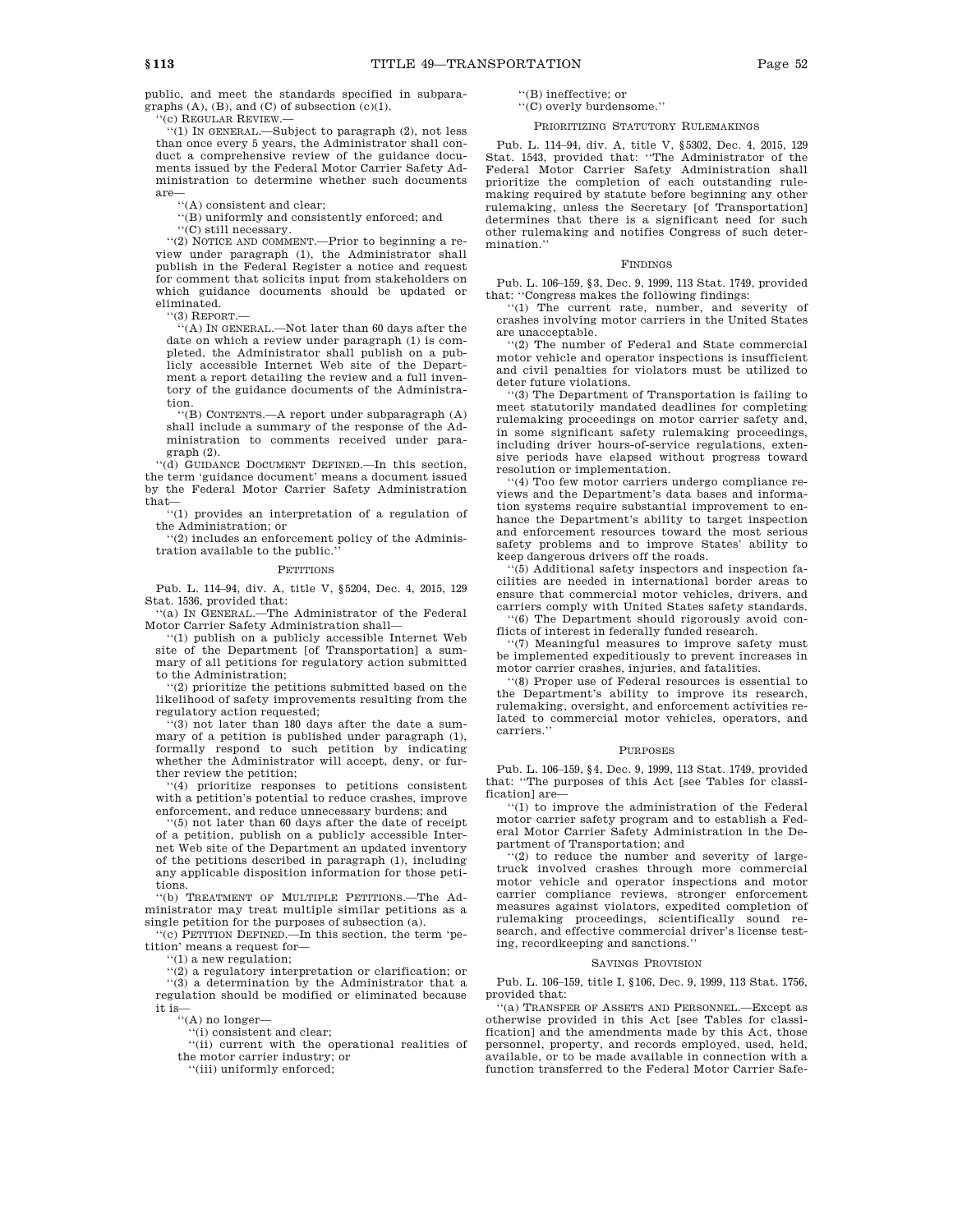public, and meet the standards specified in subparagraphs  $(A)$ ,  $(B)$ , and  $(C)$  of subsection  $(c)(1)$ .

(c) REGULAR REVIEW.

''(1) IN GENERAL.—Subject to paragraph (2), not less than once every 5 years, the Administrator shall conduct a comprehensive review of the guidance documents issued by the Federal Motor Carrier Safety Administration to determine whether such documents are—

''(A) consistent and clear;

''(B) uniformly and consistently enforced; and

''(C) still necessary.

''(2) NOTICE AND COMMENT.—Prior to beginning a review under paragraph (1), the Administrator shall publish in the Federal Register a notice and request for comment that solicits input from stakeholders on which guidance documents should be updated or eliminated.

 $(3)$  REPORT.

''(A) IN GENERAL.—Not later than 60 days after the date on which a review under paragraph (1) is completed, the Administrator shall publish on a publicly accessible Internet Web site of the Department a report detailing the review and a full inventory of the guidance documents of the Administration.

''(B) CONTENTS.—A report under subparagraph (A) shall include a summary of the response of the Administration to comments received under paragraph (2).

''(d) GUIDANCE DOCUMENT DEFINED.—In this section, the term 'guidance document' means a document issued by the Federal Motor Carrier Safety Administration that—

''(1) provides an interpretation of a regulation of the Administration; or

''(2) includes an enforcement policy of the Administration available to the public.

#### **PETITIONS**

Pub. L. 114–94, div. A, title V, §5204, Dec. 4, 2015, 129 Stat. 1536, provided that:

''(a) IN GENERAL.—The Administrator of the Federal Motor Carrier Safety Administration shall—

''(1) publish on a publicly accessible Internet Web site of the Department [of Transportation] a summary of all petitions for regulatory action submitted to the Administration;

''(2) prioritize the petitions submitted based on the likelihood of safety improvements resulting from the regulatory action requested;

'(3) not later than 180 days after the date a summary of a petition is published under paragraph (1), formally respond to such petition by indicating whether the Administrator will accept, deny, or further review the petition;

''(4) prioritize responses to petitions consistent with a petition's potential to reduce crashes, improve enforcement, and reduce unnecessary burdens; and

'(5) not later than 60 days after the date of receipt of a petition, publish on a publicly accessible Internet Web site of the Department an updated inventory of the petitions described in paragraph (1), including any applicable disposition information for those petitions.

''(b) TREATMENT OF MULTIPLE PETITIONS.—The Administrator may treat multiple similar petitions as a single petition for the purposes of subsection (a).

(c) PETITION DEFINED.—In this section, the term 'petition' means a request for—

''(1) a new regulation;

''(2) a regulatory interpretation or clarification; or ''(3) a determination by the Administrator that a regulation should be modified or eliminated because it is—

''(A) no longer—

''(i) consistent and clear;

''(ii) current with the operational realities of the motor carrier industry; or

''(iii) uniformly enforced;

''(B) ineffective; or

''(C) overly burdensome.''

# PRIORITIZING STATUTORY RULEMAKINGS

Pub. L. 114–94, div. A, title V, §5302, Dec. 4, 2015, 129 Stat. 1543, provided that: ''The Administrator of the Federal Motor Carrier Safety Administration shall prioritize the completion of each outstanding rulemaking required by statute before beginning any other rulemaking, unless the Secretary [of Transportation] determines that there is a significant need for such other rulemaking and notifies Congress of such determination.''

## FINDINGS

Pub. L. 106–159, §3, Dec. 9, 1999, 113 Stat. 1749, provided that: ''Congress makes the following findings:

''(1) The current rate, number, and severity of crashes involving motor carriers in the United States are unacceptable.

'(2) The number of Federal and State commercial motor vehicle and operator inspections is insufficient and civil penalties for violators must be utilized to deter future violations.

''(3) The Department of Transportation is failing to meet statutorily mandated deadlines for completing rulemaking proceedings on motor carrier safety and, in some significant safety rulemaking proceedings, including driver hours-of-service regulations, extensive periods have elapsed without progress toward resolution or implementation.

''(4) Too few motor carriers undergo compliance reviews and the Department's data bases and information systems require substantial improvement to enhance the Department's ability to target inspection and enforcement resources toward the most serious safety problems and to improve States' ability to keep dangerous drivers off the roads.

''(5) Additional safety inspectors and inspection facilities are needed in international border areas to ensure that commercial motor vehicles, drivers, and carriers comply with United States safety standards.

''(6) The Department should rigorously avoid conflicts of interest in federally funded research.

''(7) Meaningful measures to improve safety must be implemented expeditiously to prevent increases in motor carrier crashes, injuries, and fatalities.

'(8) Proper use of Federal resources is essential to the Department's ability to improve its research, rulemaking, oversight, and enforcement activities related to commercial motor vehicles, operators, and carriers.''

#### PURPOSES

Pub. L. 106–159, §4, Dec. 9, 1999, 113 Stat. 1749, provided that: ''The purposes of this Act [see Tables for classification] are—

''(1) to improve the administration of the Federal motor carrier safety program and to establish a Federal Motor Carrier Safety Administration in the Department of Transportation; and

''(2) to reduce the number and severity of largetruck involved crashes through more commercial motor vehicle and operator inspections and motor carrier compliance reviews, stronger enforcement measures against violators, expedited completion of rulemaking proceedings, scientifically sound research, and effective commercial driver's license testing, recordkeeping and sanctions.

### SAVINGS PROVISION

Pub. L. 106–159, title I, §106, Dec. 9, 1999, 113 Stat. 1756, provided that:

''(a) TRANSFER OF ASSETS AND PERSONNEL.—Except as otherwise provided in this Act [see Tables for classification] and the amendments made by this Act, those personnel, property, and records employed, used, held, available, or to be made available in connection with a function transferred to the Federal Motor Carrier Safe-